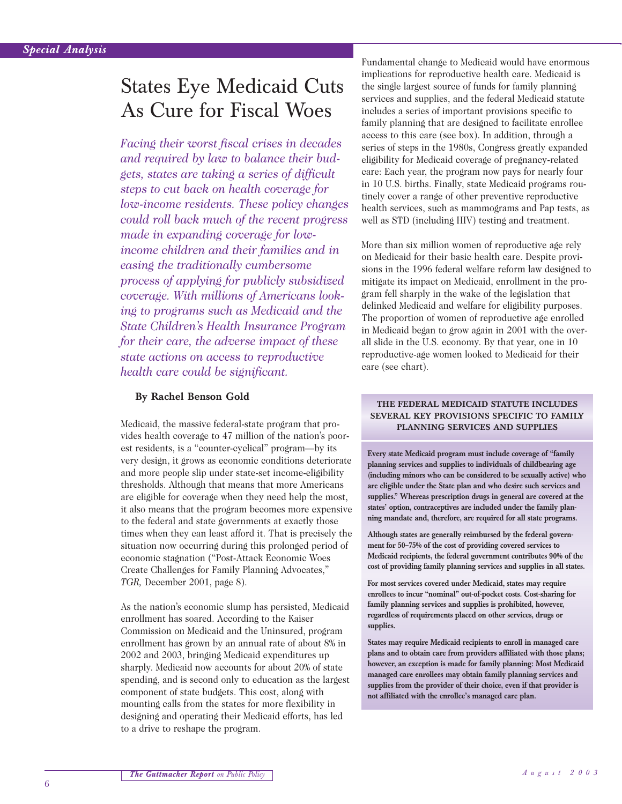# States Eye Medicaid Cuts As Cure for Fiscal Woes

*Facing their worst fiscal crises in decades and required by law to balance their budgets, states are taking a series of difficult steps to cut back on health coverage for low-income residents. These policy changes could roll back much of the recent progress made in expanding coverage for lowincome children and their families and in easing the traditionally cumbersome process of applying for publicly subsidized coverage. With millions of Americans looking to programs such as Medicaid and the State Children's Health Insurance Program for their care, the adverse impact of these state actions on access to reproductive health care could be significant.*

### **By Rachel Benson Gold**

Medicaid, the massive federal-state program that provides health coverage to 47 million of the nation's poorest residents, is a "counter-cyclical" program—by its very design, it grows as economic conditions deteriorate and more people slip under state-set income-eligibility thresholds. Although that means that more Americans are eligible for coverage when they need help the most, it also means that the program becomes more expensive to the federal and state governments at exactly those times when they can least afford it. That is precisely the situation now occurring during this prolonged period of economic stagnation ("Post-Attack Economic Woes Create Challenges for Family Planning Advocates," *TGR,* December 2001, page 8).

As the nation's economic slump has persisted, Medicaid enrollment has soared. According to the Kaiser Commission on Medicaid and the Uninsured, program enrollment has grown by an annual rate of about 8% in 2002 and 2003, bringing Medicaid expenditures up sharply. Medicaid now accounts for about 20% of state spending, and is second only to education as the largest component of state budgets. This cost, along with mounting calls from the states for more flexibility in designing and operating their Medicaid efforts, has led to a drive to reshape the program.

Fundamental change to Medicaid would have enormous implications for reproductive health care. Medicaid is the single largest source of funds for family planning services and supplies, and the federal Medicaid statute includes a series of important provisions specific to family planning that are designed to facilitate enrollee access to this care (see box). In addition, through a series of steps in the 1980s, Congress greatly expanded eligibility for Medicaid coverage of pregnancy-related care: Each year, the program now pays for nearly four in 10 U.S. births. Finally, state Medicaid programs routinely cover a range of other preventive reproductive health services, such as mammograms and Pap tests, as well as STD (including HIV) testing and treatment.

More than six million women of reproductive age rely on Medicaid for their basic health care. Despite provisions in the 1996 federal welfare reform law designed to mitigate its impact on Medicaid, enrollment in the program fell sharply in the wake of the legislation that delinked Medicaid and welfare for eligibility purposes. The proportion of women of reproductive age enrolled in Medicaid began to grow again in 2001 with the overall slide in the U.S. economy. By that year, one in 10 reproductive-age women looked to Medicaid for their care (see chart).

#### **THE FEDERAL MEDICAID STATUTE INCLUDES SEVERAL KEY PROVISIONS SPECIFIC TO FAMILY PLANNING SERVICES AND SUPPLIES**

**Every state Medicaid program must include coverage of "family planning services and supplies to individuals of childbearing age (including minors who can be considered to be sexually active) who are eligible under the State plan and who desire such services and supplies." Whereas prescription drugs in general are covered at the states' option, contraceptives are included under the family planning mandate and, therefore, are required for all state programs.**

**Although states are generally reimbursed by the federal government for 50–75% of the cost of providing covered services to Medicaid recipients, the federal government contributes 90% of the cost of providing family planning services and supplies in all states.**

**For most services covered under Medicaid, states may require enrollees to incur "nominal" out-of-pocket costs. Cost-sharing for family planning services and supplies is prohibited, however, regardless of requirements placed on other services, drugs or supplies.**

**States may require Medicaid recipients to enroll in managed care plans and to obtain care from providers affiliated with those plans; however, an exception is made for family planning: Most Medicaid managed care enrollees may obtain family planning services and supplies from the provider of their choice, even if that provider is not affiliated with the enrollee's managed care plan.**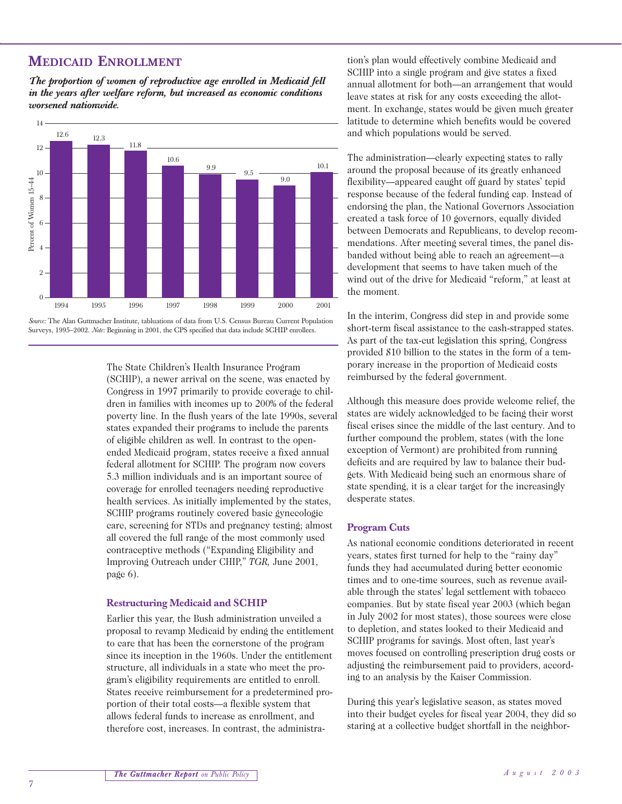## **MEDICAID ENROLLMENT**

*The proportion of women of reproductive age enrolled in Medicaid fell in the years after welfare reform, but increased as economic conditions worsened nationwide.*



*Source:* The Alan Guttmacher Institute, tabluations of data from U.S. Census Bureau Current Population Surveys, 1995-2002. *Note:* Beginning in 2001, the CPS specified that data include SCHIP enrollees.

The State Children's Health Insurance Program (SCHIP), a newer arrival on the scene, was enacted by Congress in 1997 primarily to provide coverage to children in families with incomes up to 200% of the federal poverty line. In the flush years of the late 1990s, several states expanded their programs to include the parents of eligible children as well. In contrast to the openended Medicaid program, states receive a fixed annual federal allotment for SCHIP. The program now covers 5.3 million individuals and is an important source of coverage for enrolled teenagers needing reproductive health services. As initially implemented by the states, SCHIP programs routinely covered basic gynecologic care, screening for STDs and pregnancy testing; almost all covered the full range of the most commonly used contraceptive methods ("Expanding Eligibility and Improving Outreach under CHIP," *TGR,* June 2001, page 6).

#### **Restructuring Medicaid and SCHIP**

Earlier this year, the Bush administration unveiled a proposal to revamp Medicaid by ending the entitlement to care that has been the cornerstone of the program since its inception in the 1960s. Under the entitlement structure, all individuals in a state who meet the program's eligibility requirements are entitled to enroll. States receive reimbursement for a predetermined proportion of their total costs—a flexible system that allows federal funds to increase as enrollment, and therefore cost, increases. In contrast, the administra-

tion's plan would effectively combine Medicaid and SCHIP into a single program and give states a fixed annual allotment for both—an arrangement that would leave states at risk for any costs exceeding the allotment. In exchange, states would be given much greater latitude to determine which benefits would be covered and which populations would be served.

The administration—clearly expecting states to rally around the proposal because of its greatly enhanced flexibility—appeared caught off guard by states' tepid response because of the federal funding cap. Instead of endorsing the plan, the National Governors Association created a task force of 10 governors, equally divided between Democrats and Republicans, to develop recommendations. After meeting several times, the panel disbanded without being able to reach an agreement—a development that seems to have taken much of the wind out of the drive for Medicaid "reform," at least at the moment.

In the interim, Congress did step in and provide some short-term fiscal assistance to the cash-strapped states. As part of the tax-cut legislation this spring, Congress provided \$10 billion to the states in the form of a temporary increase in the proportion of Medicaid costs reimbursed by the federal government.

Although this measure does provide welcome relief, the states are widely acknowledged to be facing their worst fiscal crises since the middle of the last century. And to further compound the problem, states (with the lone exception of Vermont) are prohibited from running deficits and are required by law to balance their budgets. With Medicaid being such an enormous share of state spending, it is a clear target for the increasingly desperate states.

#### **Program Cuts**

As national economic conditions deteriorated in recent years, states first turned for help to the "rainy day" funds they had accumulated during better economic times and to one-time sources, such as revenue available through the states' legal settlement with tobacco companies. But by state fiscal year 2003 (which began in July 2002 for most states), those sources were close to depletion, and states looked to their Medicaid and SCHIP programs for savings. Most often, last year's moves focused on controlling prescription drug costs or adjusting the reimbursement paid to providers, according to an analysis by the Kaiser Commission.

During this year's legislative season, as states moved into their budget cycles for fiscal year 2004, they did so staring at a collective budget shortfall in the neighbor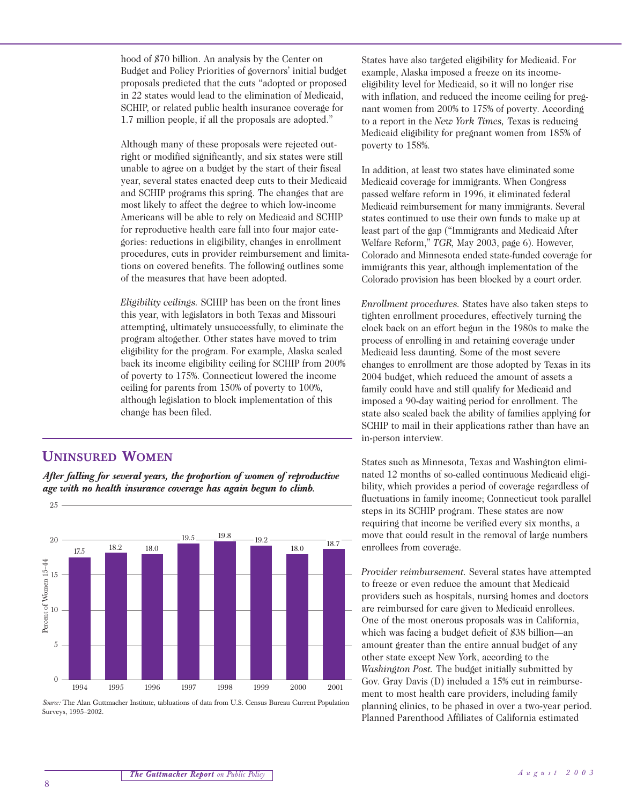hood of \$70 billion. An analysis by the Center on Budget and Policy Priorities of governors' initial budget proposals predicted that the cuts "adopted or proposed in 22 states would lead to the elimination of Medicaid, SCHIP, or related public health insurance coverage for 1.7 million people, if all the proposals are adopted."

Although many of these proposals were rejected outright or modified significantly, and six states were still unable to agree on a budget by the start of their fiscal year, several states enacted deep cuts to their Medicaid and SCHIP programs this spring. The changes that are most likely to affect the degree to which low-income Americans will be able to rely on Medicaid and SCHIP for reproductive health care fall into four major categories: reductions in eligibility, changes in enrollment procedures, cuts in provider reimbursement and limitations on covered benefits. The following outlines some of the measures that have been adopted.

*Eligibility ceilings.* SCHIP has been on the front lines this year, with legislators in both Texas and Missouri attempting, ultimately unsuccessfully, to eliminate the program altogether. Other states have moved to trim eligibility for the program. For example, Alaska scaled back its income eligibility ceiling for SCHIP from 200% of poverty to 175%. Connecticut lowered the income ceiling for parents from 150% of poverty to 100%, although legislation to block implementation of this change has been filed.

## **UNINSURED WOMEN**

25

*After falling for several years, the proportion of women of reproductive age with no health insurance coverage has again begun to climb.*



*Source:* The Alan Guttmacher Institute, tabluations of data from U.S. Census Bureau Current Population Surveys, 1995–2002.

States have also targeted eligibility for Medicaid. For example, Alaska imposed a freeze on its incomeeligibility level for Medicaid, so it will no longer rise with inflation, and reduced the income ceiling for pregnant women from 200% to 175% of poverty. According to a report in the *New York Times,* Texas is reducing Medicaid eligibility for pregnant women from 185% of poverty to 158%.

In addition, at least two states have eliminated some Medicaid coverage for immigrants. When Congress passed welfare reform in 1996, it eliminated federal Medicaid reimbursement for many immigrants. Several states continued to use their own funds to make up at least part of the gap ("Immigrants and Medicaid After Welfare Reform," *TGR,* May 2003, page 6). However, Colorado and Minnesota ended state-funded coverage for immigrants this year, although implementation of the Colorado provision has been blocked by a court order.

*Enrollment procedures.* States have also taken steps to tighten enrollment procedures, effectively turning the clock back on an effort begun in the 1980s to make the process of enrolling in and retaining coverage under Medicaid less daunting. Some of the most severe changes to enrollment are those adopted by Texas in its 2004 budget, which reduced the amount of assets a family could have and still qualify for Medicaid and imposed a 90-day waiting period for enrollment. The state also scaled back the ability of families applying for SCHIP to mail in their applications rather than have an in-person interview.

States such as Minnesota, Texas and Washington eliminated 12 months of so-called continuous Medicaid eligibility, which provides a period of coverage regardless of fluctuations in family income; Connecticut took parallel steps in its SCHIP program. These states are now requiring that income be verified every six months, a move that could result in the removal of large numbers enrollees from coverage.

*Provider reimbursement.* Several states have attempted to freeze or even reduce the amount that Medicaid providers such as hospitals, nursing homes and doctors are reimbursed for care given to Medicaid enrollees. One of the most onerous proposals was in California, which was facing a budget deficit of \$38 billion—an amount greater than the entire annual budget of any other state except New York, according to the *Washington Post.* The budget initially submitted by Gov. Gray Davis (D) included a 15% cut in reimbursement to most health care providers, including family planning clinics, to be phased in over a two-year period. Planned Parenthood Affiliates of California estimated